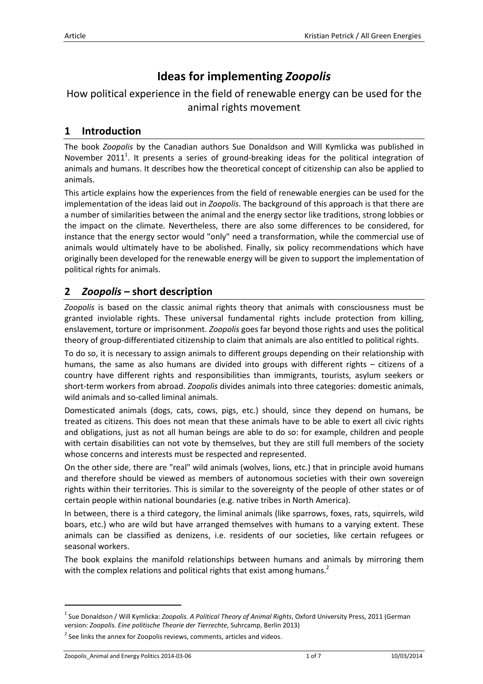# **Ideas for implementing** *Zoopolis*

# How political experience in the field of renewable energy can be used for the animal rights movement

## **1 Introduction**

The book *Zoopolis* by the Canadian authors Sue Donaldson and Will Kymlicka was published in November 2011<sup>1</sup>. It presents a series of ground-breaking ideas for the political integration of animals and humans. It describes how the theoretical concept of citizenship can also be applied to animals.

This article explains how the experiences from the field of renewable energies can be used for the implementation of the ideas laid out in *Zoopolis*. The background of this approach is that there are a number of similarities between the animal and the energy sector like traditions, strong lobbies or the impact on the climate. Nevertheless, there are also some differences to be considered, for instance that the energy sector would "only" need a transformation, while the commercial use of animals would ultimately have to be abolished. Finally, six policy recommendations which have originally been developed for the renewable energy will be given to support the implementation of political rights for animals.

# **2** *Zoopolis* **– short description**

*Zoopolis* is based on the classic animal rights theory that animals with consciousness must be granted inviolable rights. These universal fundamental rights include protection from killing, enslavement, torture or imprisonment. *Zoopolis* goes far beyond those rights and uses the political theory of group-differentiated citizenship to claim that animals are also entitled to political rights.

To do so, it is necessary to assign animals to different groups depending on their relationship with humans, the same as also humans are divided into groups with different rights – citizens of a country have different rights and responsibilities than immigrants, tourists, asylum seekers or short-term workers from abroad. *Zoopolis* divides animals into three categories: domestic animals, wild animals and so-called liminal animals.

Domesticated animals (dogs, cats, cows, pigs, etc.) should, since they depend on humans, be treated as citizens. This does not mean that these animals have to be able to exert all civic rights and obligations, just as not all human beings are able to do so: for example, children and people with certain disabilities can not vote by themselves, but they are still full members of the society whose concerns and interests must be respected and represented.

On the other side, there are "real" wild animals (wolves, lions, etc.) that in principle avoid humans and therefore should be viewed as members of autonomous societies with their own sovereign rights within their territories. This is similar to the sovereignty of the people of other states or of certain people within national boundaries (e.g. native tribes in North America).

In between, there is a third category, the liminal animals (like sparrows, foxes, rats, squirrels, wild boars, etc.) who are wild but have arranged themselves with humans to a varying extent. These animals can be classified as denizens, i.e. residents of our societies, like certain refugees or seasonal workers.

The book explains the manifold relationships between humans and animals by mirroring them with the complex relations and political rights that exist among humans.<sup>2</sup>

 $\overline{a}$ 

<sup>1</sup> Sue Donaldson / Will Kymlicka: *Zoopolis. A Political Theory of Animal Rights*, Oxford University Press, 2011 (German version: *Zoopolis. Eine politische Theorie der Tierrechte*, Suhrcamp, Berlin 2013)

 $2$  See links the annex for Zoopolis reviews, comments, articles and videos.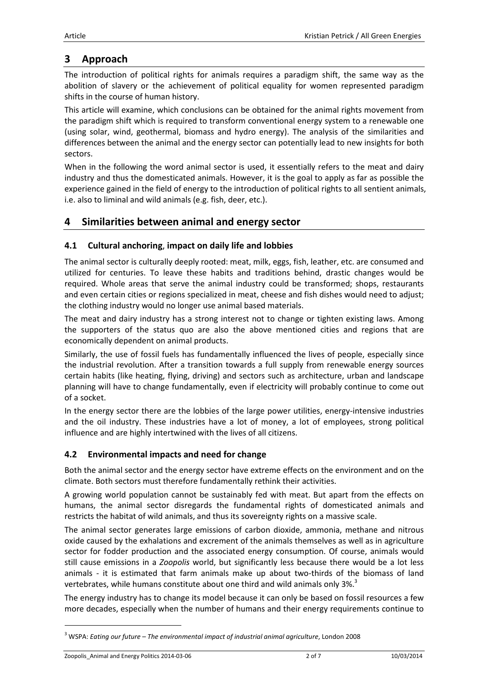# **3 Approach**

The introduction of political rights for animals requires a paradigm shift, the same way as the abolition of slavery or the achievement of political equality for women represented paradigm shifts in the course of human history.

This article will examine, which conclusions can be obtained for the animal rights movement from the paradigm shift which is required to transform conventional energy system to a renewable one (using solar, wind, geothermal, biomass and hydro energy). The analysis of the similarities and differences between the animal and the energy sector can potentially lead to new insights for both sectors.

When in the following the word animal sector is used, it essentially refers to the meat and dairy industry and thus the domesticated animals. However, it is the goal to apply as far as possible the experience gained in the field of energy to the introduction of political rights to all sentient animals, i.e. also to liminal and wild animals (e.g. fish, deer, etc.).

# **4 Similarities between animal and energy sector**

### **4.1 Cultural anchoring**, **impact on daily life and lobbies**

The animal sector is culturally deeply rooted: meat, milk, eggs, fish, leather, etc. are consumed and utilized for centuries. To leave these habits and traditions behind, drastic changes would be required. Whole areas that serve the animal industry could be transformed; shops, restaurants and even certain cities or regions specialized in meat, cheese and fish dishes would need to adjust; the clothing industry would no longer use animal based materials.

The meat and dairy industry has a strong interest not to change or tighten existing laws. Among the supporters of the status quo are also the above mentioned cities and regions that are economically dependent on animal products.

Similarly, the use of fossil fuels has fundamentally influenced the lives of people, especially since the industrial revolution. After a transition towards a full supply from renewable energy sources certain habits (like heating, flying, driving) and sectors such as architecture, urban and landscape planning will have to change fundamentally, even if electricity will probably continue to come out of a socket.

In the energy sector there are the lobbies of the large power utilities, energy-intensive industries and the oil industry. These industries have a lot of money, a lot of employees, strong political influence and are highly intertwined with the lives of all citizens.

### **4.2 Environmental impacts and need for change**

Both the animal sector and the energy sector have extreme effects on the environment and on the climate. Both sectors must therefore fundamentally rethink their activities.

A growing world population cannot be sustainably fed with meat. But apart from the effects on humans, the animal sector disregards the fundamental rights of domesticated animals and restricts the habitat of wild animals, and thus its sovereignty rights on a massive scale.

The animal sector generates large emissions of carbon dioxide, ammonia, methane and nitrous oxide caused by the exhalations and excrement of the animals themselves as well as in agriculture sector for fodder production and the associated energy consumption. Of course, animals would still cause emissions in a *Zoopolis* world, but significantly less because there would be a lot less animals - it is estimated that farm animals make up about two-thirds of the biomass of land vertebrates, while humans constitute about one third and wild animals only 3%.<sup>3</sup>

The energy industry has to change its model because it can only be based on fossil resources a few more decades, especially when the number of humans and their energy requirements continue to

l

<sup>3</sup> WSPA: *Eating our future – The environmental impact of industrial animal agriculture*, London 2008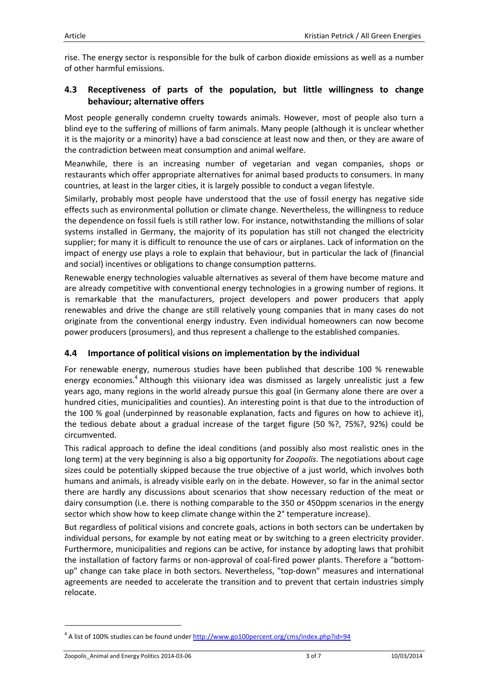rise. The energy sector is responsible for the bulk of carbon dioxide emissions as well as a number of other harmful emissions.

### **4.3 Receptiveness of parts of the population, but little willingness to change behaviour; alternative offers**

Most people generally condemn cruelty towards animals. However, most of people also turn a blind eye to the suffering of millions of farm animals. Many people (although it is unclear whether it is the majority or a minority) have a bad conscience at least now and then, or they are aware of the contradiction between meat consumption and animal welfare.

Meanwhile, there is an increasing number of vegetarian and vegan companies, shops or restaurants which offer appropriate alternatives for animal based products to consumers. In many countries, at least in the larger cities, it is largely possible to conduct a vegan lifestyle.

Similarly, probably most people have understood that the use of fossil energy has negative side effects such as environmental pollution or climate change. Nevertheless, the willingness to reduce the dependence on fossil fuels is still rather low. For instance, notwithstanding the millions of solar systems installed in Germany, the majority of its population has still not changed the electricity supplier; for many it is difficult to renounce the use of cars or airplanes. Lack of information on the impact of energy use plays a role to explain that behaviour, but in particular the lack of (financial and social) incentives or obligations to change consumption patterns.

Renewable energy technologies valuable alternatives as several of them have become mature and are already competitive with conventional energy technologies in a growing number of regions. It is remarkable that the manufacturers, project developers and power producers that apply renewables and drive the change are still relatively young companies that in many cases do not originate from the conventional energy industry. Even individual homeowners can now become power producers (prosumers), and thus represent a challenge to the established companies.

### **4.4 Importance of political visions on implementation by the individual**

For renewable energy, numerous studies have been published that describe 100 % renewable energy economies.<sup>4</sup> Although this visionary idea was dismissed as largely unrealistic just a few years ago, many regions in the world already pursue this goal (in Germany alone there are over a hundred cities, municipalities and counties). An interesting point is that due to the introduction of the 100 % goal (underpinned by reasonable explanation, facts and figures on how to achieve it), the tedious debate about a gradual increase of the target figure (50 %?, 75%?, 92%) could be circumvented.

This radical approach to define the ideal conditions (and possibly also most realistic ones in the long term) at the very beginning is also a big opportunity for *Zoopolis*. The negotiations about cage sizes could be potentially skipped because the true objective of a just world, which involves both humans and animals, is already visible early on in the debate. However, so far in the animal sector there are hardly any discussions about scenarios that show necessary reduction of the meat or dairy consumption (i.e. there is nothing comparable to the 350 or 450ppm scenarios in the energy sector which show how to keep climate change within the 2° temperature increase).

But regardless of political visions and concrete goals, actions in both sectors can be undertaken by individual persons, for example by not eating meat or by switching to a green electricity provider. Furthermore, municipalities and regions can be active, for instance by adopting laws that prohibit the installation of factory farms or non-approval of coal-fired power plants. Therefore a "bottomup" change can take place in both sectors. Nevertheless, "top-down" measures and international agreements are needed to accelerate the transition and to prevent that certain industries simply relocate.

l

<sup>&</sup>lt;sup>4</sup> A list of 100% studies can be found under http://www.go100percent.org/cms/index.php?id=94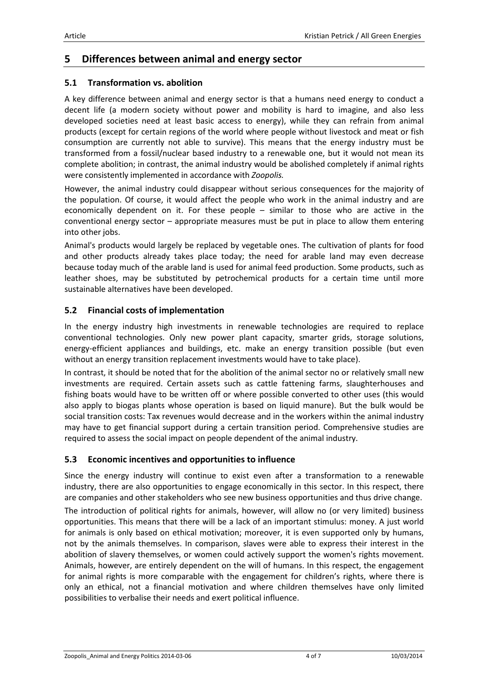### **5 Differences between animal and energy sector**

#### **5.1 Transformation vs. abolition**

A key difference between animal and energy sector is that a humans need energy to conduct a decent life (a modern society without power and mobility is hard to imagine, and also less developed societies need at least basic access to energy), while they can refrain from animal products (except for certain regions of the world where people without livestock and meat or fish consumption are currently not able to survive). This means that the energy industry must be transformed from a fossil/nuclear based industry to a renewable one, but it would not mean its complete abolition; in contrast, the animal industry would be abolished completely if animal rights were consistently implemented in accordance with *Zoopolis.*

However, the animal industry could disappear without serious consequences for the majority of the population. Of course, it would affect the people who work in the animal industry and are economically dependent on it. For these people – similar to those who are active in the conventional energy sector – appropriate measures must be put in place to allow them entering into other jobs.

Animal's products would largely be replaced by vegetable ones. The cultivation of plants for food and other products already takes place today; the need for arable land may even decrease because today much of the arable land is used for animal feed production. Some products, such as leather shoes, may be substituted by petrochemical products for a certain time until more sustainable alternatives have been developed.

#### **5.2 Financial costs of implementation**

In the energy industry high investments in renewable technologies are required to replace conventional technologies. Only new power plant capacity, smarter grids, storage solutions, energy-efficient appliances and buildings, etc. make an energy transition possible (but even without an energy transition replacement investments would have to take place).

In contrast, it should be noted that for the abolition of the animal sector no or relatively small new investments are required. Certain assets such as cattle fattening farms, slaughterhouses and fishing boats would have to be written off or where possible converted to other uses (this would also apply to biogas plants whose operation is based on liquid manure). But the bulk would be social transition costs: Tax revenues would decrease and in the workers within the animal industry may have to get financial support during a certain transition period. Comprehensive studies are required to assess the social impact on people dependent of the animal industry.

### **5.3 Economic incentives and opportunities to influence**

Since the energy industry will continue to exist even after a transformation to a renewable industry, there are also opportunities to engage economically in this sector. In this respect, there are companies and other stakeholders who see new business opportunities and thus drive change.

The introduction of political rights for animals, however, will allow no (or very limited) business opportunities. This means that there will be a lack of an important stimulus: money. A just world for animals is only based on ethical motivation; moreover, it is even supported only by humans, not by the animals themselves. In comparison, slaves were able to express their interest in the abolition of slavery themselves, or women could actively support the women's rights movement. Animals, however, are entirely dependent on the will of humans. In this respect, the engagement for animal rights is more comparable with the engagement for children's rights, where there is only an ethical, not a financial motivation and where children themselves have only limited possibilities to verbalise their needs and exert political influence.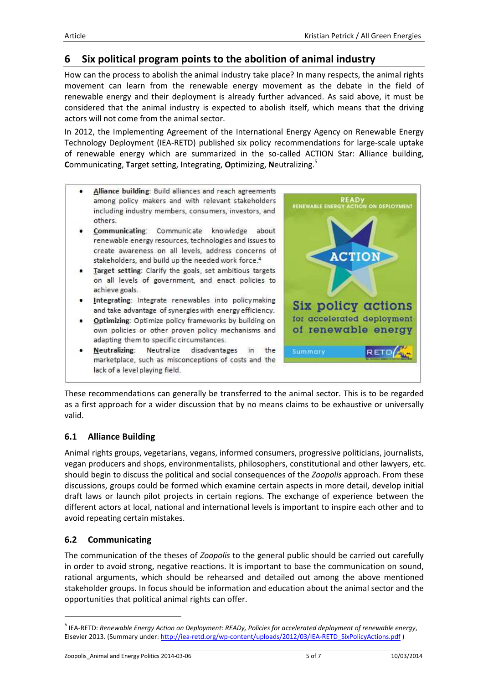# **6 Six political program points to the abolition of animal industry**

How can the process to abolish the animal industry take place? In many respects, the animal rights movement can learn from the renewable energy movement as the debate in the field of renewable energy and their deployment is already further advanced. As said above, it must be considered that the animal industry is expected to abolish itself, which means that the driving actors will not come from the animal sector.

In 2012, the Implementing Agreement of the International Energy Agency on Renewable Energy Technology Deployment (IEA-RETD) published six policy recommendations for large-scale uptake of renewable energy which are summarized in the so-called ACTION Star: **A**lliance building, **C**ommunicating, **T**arget setting, **I**ntegrating, **O**ptimizing, **N**eutralizing.<sup>5</sup>



These recommendations can generally be transferred to the animal sector. This is to be regarded as a first approach for a wider discussion that by no means claims to be exhaustive or universally valid.

#### **6.1 Alliance Building**

Animal rights groups, vegetarians, vegans, informed consumers, progressive politicians, journalists, vegan producers and shops, environmentalists, philosophers, constitutional and other lawyers, etc. should begin to discuss the political and social consequences of the *Zoopolis* approach. From these discussions, groups could be formed which examine certain aspects in more detail, develop initial draft laws or launch pilot projects in certain regions. The exchange of experience between the different actors at local, national and international levels is important to inspire each other and to avoid repeating certain mistakes.

### **6.2 Communicating**

 $\overline{a}$ 

The communication of the theses of *Zoopolis* to the general public should be carried out carefully in order to avoid strong, negative reactions. It is important to base the communication on sound, rational arguments, which should be rehearsed and detailed out among the above mentioned stakeholder groups. In focus should be information and education about the animal sector and the opportunities that political animal rights can offer.

Zoopolis\_Animal and Energy Politics 2014-03-06 5 of 7 10/03/2014

<sup>5</sup> IEA-RETD: *Renewable Energy Action on Deployment: READy, Policies for accelerated deployment of renewable energy*, Elsevier 2013. (Summary under: http://iea-retd.org/wp-content/uploads/2012/03/IEA-RETD\_SixPolicyActions.pdf )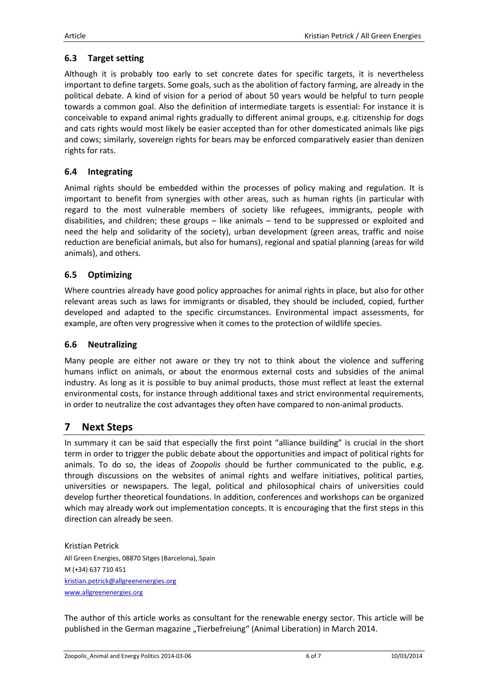### **6.3 Target setting**

Although it is probably too early to set concrete dates for specific targets, it is nevertheless important to define targets. Some goals, such as the abolition of factory farming, are already in the political debate. A kind of vision for a period of about 50 years would be helpful to turn people towards a common goal. Also the definition of intermediate targets is essential: For instance it is conceivable to expand animal rights gradually to different animal groups, e.g. citizenship for dogs and cats rights would most likely be easier accepted than for other domesticated animals like pigs and cows; similarly, sovereign rights for bears may be enforced comparatively easier than denizen rights for rats.

### **6.4 Integrating**

Animal rights should be embedded within the processes of policy making and regulation. It is important to benefit from synergies with other areas, such as human rights (in particular with regard to the most vulnerable members of society like refugees, immigrants, people with disabilities, and children; these groups – like animals – tend to be suppressed or exploited and need the help and solidarity of the society), urban development (green areas, traffic and noise reduction are beneficial animals, but also for humans), regional and spatial planning (areas for wild animals), and others.

### **6.5 Optimizing**

Where countries already have good policy approaches for animal rights in place, but also for other relevant areas such as laws for immigrants or disabled, they should be included, copied, further developed and adapted to the specific circumstances. Environmental impact assessments, for example, are often very progressive when it comes to the protection of wildlife species.

### **6.6 Neutralizing**

Many people are either not aware or they try not to think about the violence and suffering humans inflict on animals, or about the enormous external costs and subsidies of the animal industry. As long as it is possible to buy animal products, those must reflect at least the external environmental costs, for instance through additional taxes and strict environmental requirements, in order to neutralize the cost advantages they often have compared to non-animal products.

### **7 Next Steps**

In summary it can be said that especially the first point "alliance building" is crucial in the short term in order to trigger the public debate about the opportunities and impact of political rights for animals. To do so, the ideas of *Zoopolis* should be further communicated to the public, e.g. through discussions on the websites of animal rights and welfare initiatives, political parties, universities or newspapers. The legal, political and philosophical chairs of universities could develop further theoretical foundations. In addition, conferences and workshops can be organized which may already work out implementation concepts. It is encouraging that the first steps in this direction can already be seen.

Kristian Petrick All Green Energies, 08870 Sitges (Barcelona), Spain M (+34) 637 710 451 kristian.petrick@allgreenenergies.org www.allgreenenergies.org

The author of this article works as consultant for the renewable energy sector. This article will be published in the German magazine "Tierbefreiung" (Animal Liberation) in March 2014.